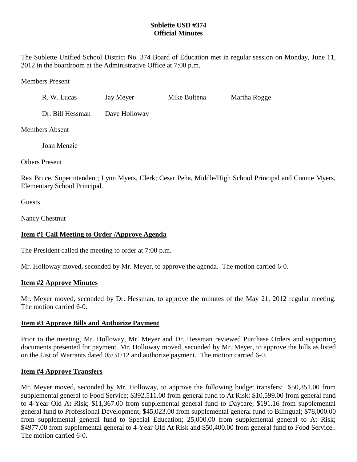# **Sublette USD #374 Official Minutes**

The Sublette Unified School District No. 374 Board of Education met in regular session on Monday, June 11, 2012 in the boardroom at the Administrative Office at 7:00 p.m.

Members Present

| R. W. Lucas      | Jay Meyer     | Mike Bultena | Martha Rogge |  |
|------------------|---------------|--------------|--------------|--|
| Dr. Bill Hessman | Dave Holloway |              |              |  |

Members Absent

Joan Menzie

Others Present

Rex Bruce, Superintendent; Lynn Myers, Clerk; Cesar Peña, Middle/High School Principal and Connie Myers, Elementary School Principal.

**Guests** 

Nancy Chestnut

# **Item #1 Call Meeting to Order /Approve Agenda**

The President called the meeting to order at 7:00 p.m.

Mr. Holloway moved, seconded by Mr. Meyer, to approve the agenda. The motion carried 6-0.

### **Item #2 Approve Minutes**

Mr. Meyer moved, seconded by Dr. Hessman, to approve the minutes of the May 21, 2012 regular meeting. The motion carried 6-0.

### **Item #3 Approve Bills and Authorize Payment**

Prior to the meeting, Mr. Holloway, Mr. Meyer and Dr. Hessman reviewed Purchase Orders and supporting documents presented for payment. Mr. Holloway moved, seconded by Mr. Meyer, to approve the bills as listed on the List of Warrants dated 05/31/12 and authorize payment. The motion carried 6-0.

### **Item #4 Approve Transfers**

Mr. Meyer moved, seconded by Mr. Holloway, to approve the following budget transfers: \$50,351.00 from supplemental general to Food Service; \$392,511.00 from general fund to At Risk; \$10,599.00 from general fund to 4-Year Old At Risk; \$11,367.00 from supplemental general fund to Daycare; \$191.16 from supplemental general fund to Professional Development; \$45,023.00 from supplemental general fund to Bilingual; \$78,000.00 from supplemental general fund to Special Education; 25,000.00 from supplemental general to At Risk; \$4977.00 from supplemental general to 4-Year Old At Risk and \$50,400.00 from general fund to Food Service.. The motion carried 6-0.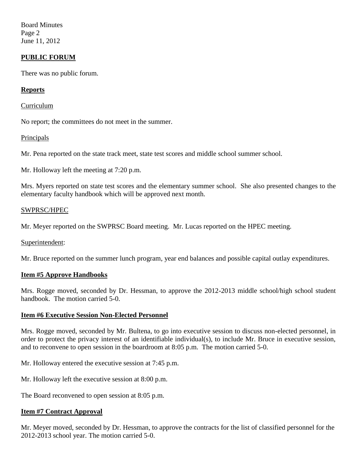Board Minutes Page 2 June 11, 2012

## **PUBLIC FORUM**

There was no public forum.

### **Reports**

Curriculum

No report; the committees do not meet in the summer.

#### **Principals**

Mr. Pena reported on the state track meet, state test scores and middle school summer school.

Mr. Holloway left the meeting at 7:20 p.m.

Mrs. Myers reported on state test scores and the elementary summer school. She also presented changes to the elementary faculty handbook which will be approved next month.

#### SWPRSC/HPEC

Mr. Meyer reported on the SWPRSC Board meeting. Mr. Lucas reported on the HPEC meeting.

Superintendent:

Mr. Bruce reported on the summer lunch program, year end balances and possible capital outlay expenditures.

### **Item #5 Approve Handbooks**

Mrs. Rogge moved, seconded by Dr. Hessman, to approve the 2012-2013 middle school/high school student handbook. The motion carried 5-0.

### **Item #6 Executive Session Non-Elected Personnel**

Mrs. Rogge moved, seconded by Mr. Bultena, to go into executive session to discuss non-elected personnel, in order to protect the privacy interest of an identifiable individual(s), to include Mr. Bruce in executive session, and to reconvene to open session in the boardroom at 8:05 p.m. The motion carried 5-0.

Mr. Holloway entered the executive session at 7:45 p.m.

Mr. Holloway left the executive session at 8:00 p.m.

The Board reconvened to open session at 8:05 p.m.

### **Item #7 Contract Approval**

Mr. Meyer moved, seconded by Dr. Hessman, to approve the contracts for the list of classified personnel for the 2012-2013 school year. The motion carried 5-0.